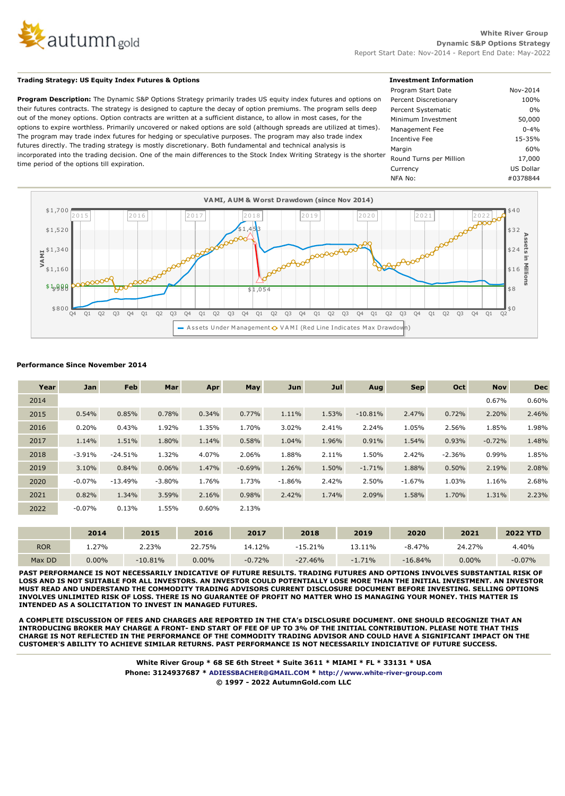

# **Trading Strategy: US Equity Index Futures & Options**

**Program Description:** The Dynamic S&P Options Strategy primarily trades US equity index futures and options on their futures contracts. The strategy is designed to capture the decay of option premiums. The program sells deep out of the money options. Option contracts are written at a sufficient distance, to allow in most cases, for the options to expire worthless. Primarily uncovered or naked options are sold (although spreads are utilized at times). The program may trade index futures for hedging or speculative purposes. The program may also trade index futures directly. The trading strategy is mostly discretionary. Both fundamental and technical analysis is incorporated into the trading decision. One of the main differences to the Stock Index Writing Strategy is the shorter time period of the options till expiration.

| <b>Investment Information</b> |           |  |
|-------------------------------|-----------|--|
| Program Start Date            | Nov-2014  |  |
| Percent Discretionary         | 100%      |  |
| Percent Systematic            | $0\%$     |  |
| Minimum Investment            | 50,000    |  |
| Management Fee                | $0 - 4%$  |  |
| Incentive Fee                 | 15-35%    |  |
| Margin                        | 60%       |  |
| Round Turns per Million       | 17,000    |  |
| Currency                      | US Dollar |  |
| NFA No:                       | #0378844  |  |



### **Performance Since November 2014**

| Year | Jan      | Feb       | Mar      | Apr   | May      | Jun      | Jul   | Aug       | <b>Sep</b> | Oct      | <b>Nov</b> | <b>Dec</b>      |
|------|----------|-----------|----------|-------|----------|----------|-------|-----------|------------|----------|------------|-----------------|
| 2014 |          |           |          |       |          |          |       |           |            |          | 0.67%      | 0.60%           |
| 2015 | 0.54%    | 0.85%     | 0.78%    | 0.34% | 0.77%    | 1.11%    | 1.53% | $-10.81%$ | 2.47%      | 0.72%    | 2.20%      | 2.46%           |
| 2016 | 0.20%    | 0.43%     | 1.92%    | 1.35% | 1.70%    | 3.02%    | 2.41% | 2.24%     | 1.05%      | 2.56%    | 1.85%      | 1.98%           |
| 2017 | 1.14%    | 1.51%     | 1.80%    | 1.14% | 0.58%    | 1.04%    | 1.96% | 0.91%     | 1.54%      | 0.93%    | $-0.72%$   | 1.48%           |
| 2018 | $-3.91%$ | $-24.51%$ | 1.32%    | 4.07% | 2.06%    | 1.88%    | 2.11% | 1.50%     | 2.42%      | $-2.36%$ | 0.99%      | 1.85%           |
| 2019 | 3.10%    | 0.84%     | 0.06%    | 1.47% | $-0.69%$ | 1.26%    | 1.50% | $-1.71%$  | 1.88%      | 0.50%    | 2.19%      | 2.08%           |
| 2020 | $-0.07%$ | $-13.49%$ | $-3.80%$ | 1.76% | 1.73%    | $-1.86%$ | 2.42% | 2.50%     | $-1.67%$   | 1.03%    | 1.16%      | 2.68%           |
| 2021 | 0.82%    | 1.34%     | 3.59%    | 2.16% | 0.98%    | 2.42%    | 1.74% | 2.09%     | 1.58%      | 1.70%    | 1.31%      | 2.23%           |
| 2022 | $-0.07%$ | 0.13%     | 1.55%    | 0.60% | 2.13%    |          |       |           |            |          |            |                 |
|      |          |           |          |       |          |          |       |           |            |          |            |                 |
|      | 2014     |           | 2015     | 2016  | 2017     |          | 2018  | 2019      | 2020       | 2021     |            | <b>2022 YTD</b> |

|            | 2014     | 2015      | 2016     | 2017     | 2018      | 2019      | 2020      | 2021   | <b>2022 YTD</b> |
|------------|----------|-----------|----------|----------|-----------|-----------|-----------|--------|-----------------|
| <b>ROR</b> | 27%،     | 2.23%     | 22.75%   | 14.12%   | -15.21%   | $13.11\%$ | $-8.47%$  | 24.27% | 4.40%           |
| Max DD     | $0.00\%$ | $-10.81%$ | $0.00\%$ | $-0.72%$ | $-27.46%$ | $-1.71%$  | $-16.84%$ | 0.00%  | $-0.07%$        |

**PAST PERFORMANCE IS NOT NECESSARILY INDICATIVE OF FUTURE RESULTS. TRADING FUTURES AND OPTIONS INVOLVES SUBSTANTIAL RISK OF LOSS AND IS NOT SUITABLE FOR ALL INVESTORS. AN INVESTOR COULD POTENTIALLY LOSE MORE THAN THE INITIAL INVESTMENT. AN INVESTOR MUST READ AND UNDERSTAND THE COMMODITY TRADING ADVISORS CURRENT DISCLOSURE DOCUMENT BEFORE INVESTING. SELLING OPTIONS INVOLVES UNLIMITED RISK OF LOSS. THERE IS NO GUARANTEE OF PROFIT NO MATTER WHO IS MANAGING YOUR MONEY. THIS MATTER IS INTENDED AS A SOLICITATION TO INVEST IN MANAGED FUTURES.**

**A COMPLETE DISCUSSION OF FEES AND CHARGES ARE REPORTED IN THE CTA's DISCLOSURE DOCUMENT. ONE SHOULD RECOGNIZE THAT AN INTRODUCING BROKER MAY CHARGE A FRONT- END START OF FEE OF UP TO 3% OF THE INITIAL CONTRIBUTION. PLEASE NOTE THAT THIS CHARGE IS NOT REFLECTED IN THE PERFORMANCE OF THE COMMODITY TRADING ADVISOR AND COULD HAVE A SIGNIFICANT IMPACT ON THE CUSTOMER'S ABILITY TO ACHIEVE SIMILAR RETURNS. PAST PERFORMANCE IS NOT NECESSARILY INDICIATIVE OF FUTURE SUCCESS.**

> **White River Group \* 68 SE 6th Street \* Suite 3611 \* MIAMI \* FL \* 33131 \* USA Phone: 3124937687 \* ADIESSBACHER@GMAIL.COM \* http://www.white-river-group.com © 1997 - 2022 AutumnGold.com LLC**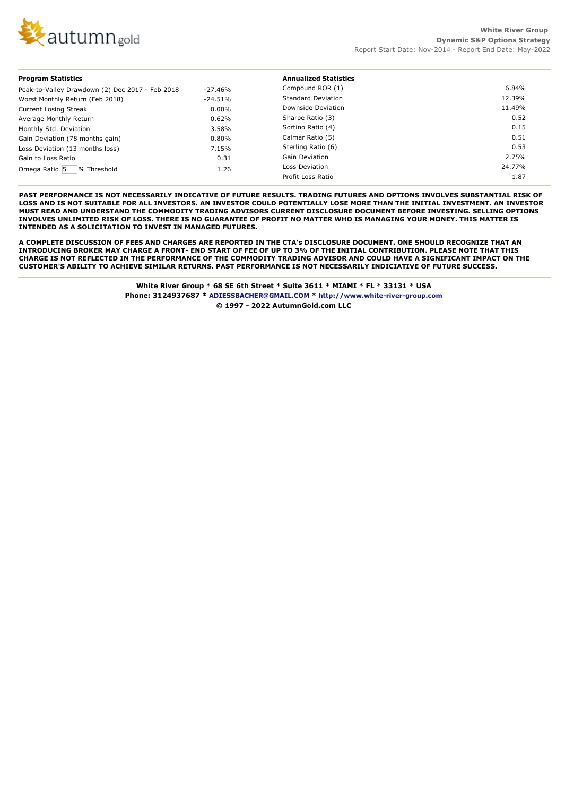

#### **Program Statistics** Peak-to-Valley Drawdown (2) Dec 2017 - Feb 2018 -27.46%<br>Worst Monthly Return (Feb 2018) -24.51% Worst Monthly Return (Feb 2018) Current Losing Streak 0.00% Average Monthly Return 2008 2009 10:00:00 0.62% Monthly Std. Deviation 3.58% Gain Deviation (78 months gain) 0.80% Loss Deviation (13 months loss) 7.15% Gain to Loss Ratio 0.31 Omega Ratio 5 % Threshold 1.26 **Annualized Statistics** Compound ROR (1) 6.84% Standard Deviation 12.39% Downside Deviation 11.49% Sharpe Ratio (3) 0.52 Sortino Ratio (4) 0.15 Calmar Ratio (5) 0.51 Sterling Ratio (6) 0.53 Gain Deviation 2.75% Loss Deviation 24.77% Profit Loss Ratio 1.87

**PAST PERFORMANCE IS NOT NECESSARILY INDICATIVE OF FUTURE RESULTS. TRADING FUTURES AND OPTIONS INVOLVES SUBSTANTIAL RISK OF LOSS AND IS NOT SUITABLE FOR ALL INVESTORS. AN INVESTOR COULD POTENTIALLY LOSE MORE THAN THE INITIAL INVESTMENT. AN INVESTOR MUST READ AND UNDERSTAND THE COMMODITY TRADING ADVISORS CURRENT DISCLOSURE DOCUMENT BEFORE INVESTING. SELLING OPTIONS INVOLVES UNLIMITED RISK OF LOSS. THERE IS NO GUARANTEE OF PROFIT NO MATTER WHO IS MANAGING YOUR MONEY. THIS MATTER IS INTENDED AS A SOLICITATION TO INVEST IN MANAGED FUTURES.**

**A COMPLETE DISCUSSION OF FEES AND CHARGES ARE REPORTED IN THE CTA's DISCLOSURE DOCUMENT. ONE SHOULD RECOGNIZE THAT AN INTRODUCING BROKER MAY CHARGE A FRONT- END START OF FEE OF UP TO 3% OF THE INITIAL CONTRIBUTION. PLEASE NOTE THAT THIS CHARGE IS NOT REFLECTED IN THE PERFORMANCE OF THE COMMODITY TRADING ADVISOR AND COULD HAVE A SIGNIFICANT IMPACT ON THE CUSTOMER'S ABILITY TO ACHIEVE SIMILAR RETURNS. PAST PERFORMANCE IS NOT NECESSARILY INDICIATIVE OF FUTURE SUCCESS.**

> **White River Group \* 68 SE 6th Street \* Suite 3611 \* MIAMI \* FL \* 33131 \* USA Phone: 3124937687 \* ADIESSBACHER@GMAIL.COM \* http://www.white-river-group.com © 1997 - 2022 AutumnGold.com LLC**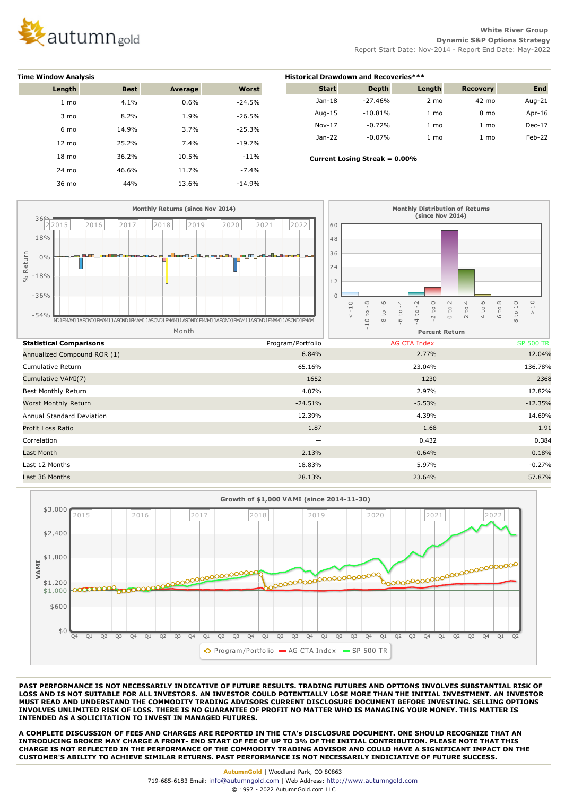

**White River Group Dynamic S&P Options Strategy** Report Start Date: Nov-2014 - Report End Date: May-2022

| <b>Time Window Analysis</b> |             |         |          |  |  |  |  |
|-----------------------------|-------------|---------|----------|--|--|--|--|
| Length                      | <b>Best</b> | Average | Worst    |  |  |  |  |
| 1 <sub>mo</sub>             | 4.1%        | 0.6%    | $-24.5%$ |  |  |  |  |
| 3 mo                        | 8.2%        | 1.9%    | $-26.5%$ |  |  |  |  |
| 6 mo                        | 14.9%       | 3.7%    | $-25.3%$ |  |  |  |  |
| 12 mo                       | 25.2%       | 7.4%    | $-19.7%$ |  |  |  |  |
| 18 mo                       | 36.2%       | 10.5%   | $-11%$   |  |  |  |  |
| 24 mo                       | 46.6%       | 11.7%   | $-7.4%$  |  |  |  |  |
| 36 mo                       | 44%         | 13.6%   | $-14.9%$ |  |  |  |  |

| <b>Historical Drawdown and Recoveries***</b> |              |                |                 |            |  |  |  |
|----------------------------------------------|--------------|----------------|-----------------|------------|--|--|--|
| <b>Start</b>                                 | <b>Depth</b> | Length         | <b>Recovery</b> | <b>End</b> |  |  |  |
| $Jan-18$                                     | $-27.46%$    | $2 \text{ mo}$ | 42 mo           | Aug- $21$  |  |  |  |
| Aug-15                                       | $-10.81%$    | $1 \text{ mo}$ | 8 mo            | Apr-16     |  |  |  |
| $Nov-17$                                     | $-0.72%$     | 1 mo           | $1 \text{ mo}$  | $Dec-17$   |  |  |  |
| $Jan-22$                                     | $-0.07%$     | 1 mo           | 1 mo            | $Feb-22$   |  |  |  |

 **Current Losing Streak = 0.00%**





**PAST PERFORMANCE IS NOT NECESSARILY INDICATIVE OF FUTURE RESULTS. TRADING FUTURES AND OPTIONS INVOLVES SUBSTANTIAL RISK OF LOSS AND IS NOT SUITABLE FOR ALL INVESTORS. AN INVESTOR COULD POTENTIALLY LOSE MORE THAN THE INITIAL INVESTMENT. AN INVESTOR MUST READ AND UNDERSTAND THE COMMODITY TRADING ADVISORS CURRENT DISCLOSURE DOCUMENT BEFORE INVESTING. SELLING OPTIONS INVOLVES UNLIMITED RISK OF LOSS. THERE IS NO GUARANTEE OF PROFIT NO MATTER WHO IS MANAGING YOUR MONEY. THIS MATTER IS INTENDED AS A SOLICITATION TO INVEST IN MANAGED FUTURES.**

**A COMPLETE DISCUSSION OF FEES AND CHARGES ARE REPORTED IN THE CTA's DISCLOSURE DOCUMENT. ONE SHOULD RECOGNIZE THAT AN INTRODUCING BROKER MAY CHARGE A FRONT- END START OF FEE OF UP TO 3% OF THE INITIAL CONTRIBUTION. PLEASE NOTE THAT THIS CHARGE IS NOT REFLECTED IN THE PERFORMANCE OF THE COMMODITY TRADING ADVISOR AND COULD HAVE A SIGNIFICANT IMPACT ON THE CUSTOMER'S ABILITY TO ACHIEVE SIMILAR RETURNS. PAST PERFORMANCE IS NOT NECESSARILY INDICIATIVE OF FUTURE SUCCESS.**